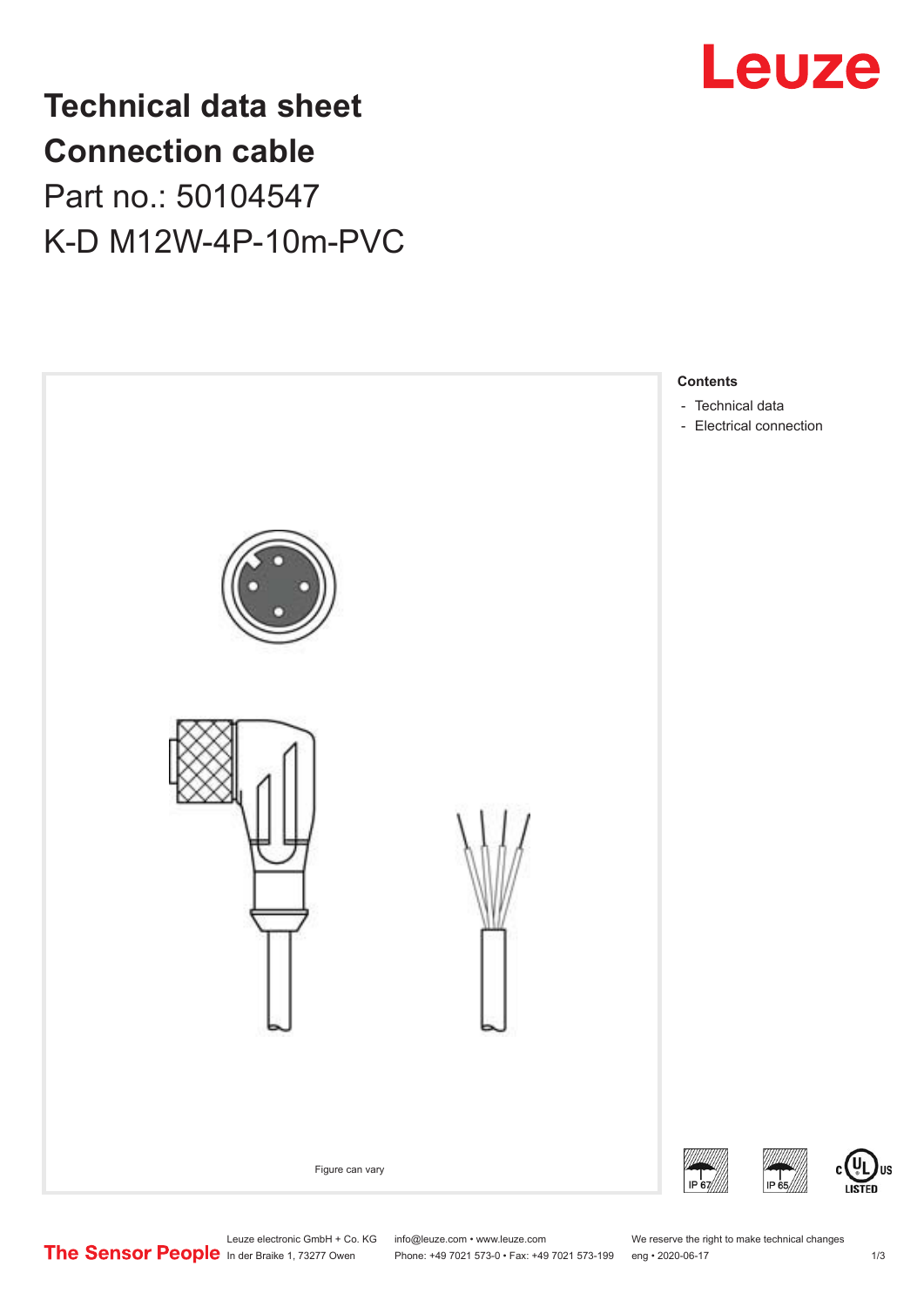

## **Technical data sheet Connection cable** Part no.: 50104547

K-D M12W-4P-10m-PVC



Leuze electronic GmbH + Co. KG info@leuze.com • www.leuze.com We reserve the right to make technical changes<br>
The Sensor People in der Braike 1, 73277 Owen Phone: +49 7021 573-0 • Fax: +49 7021 573-199 eng • 2020-06-17

Phone: +49 7021 573-0 • Fax: +49 7021 573-199 eng • 2020-06-17

US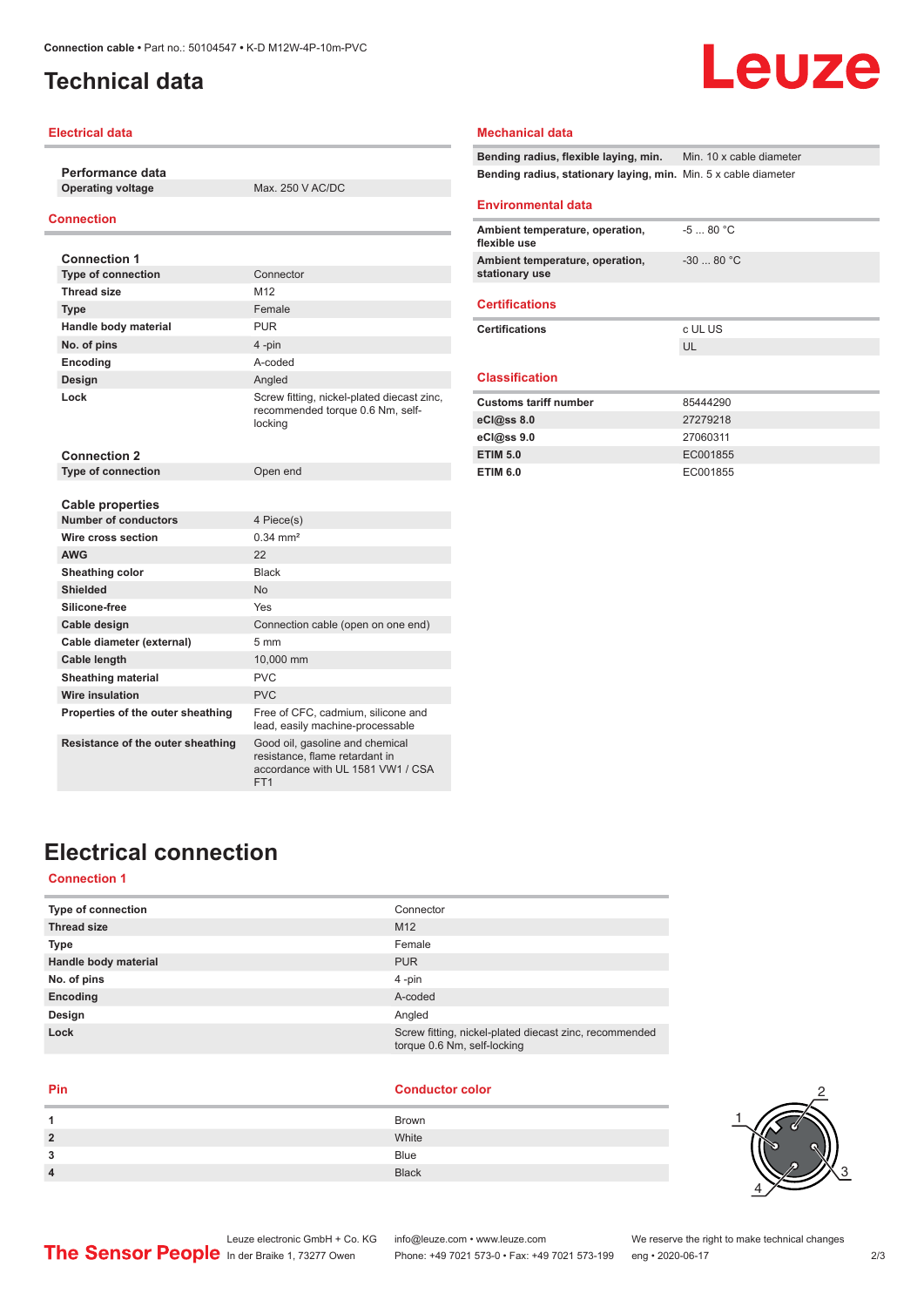## <span id="page-1-0"></span>**Technical data**

# Leuze

#### **Electrical data**

**Performance data**

**Operating voltage** Max. 250 V AC/DC

#### **Connection**

| <b>Connection 1</b>               |                                                                                                                           |
|-----------------------------------|---------------------------------------------------------------------------------------------------------------------------|
| <b>Type of connection</b>         | Connector                                                                                                                 |
| <b>Thread size</b>                | M <sub>12</sub>                                                                                                           |
| <b>Type</b>                       | Female                                                                                                                    |
| Handle body material              | <b>PUR</b>                                                                                                                |
| No. of pins                       | 4-pin                                                                                                                     |
| Encoding                          | A-coded                                                                                                                   |
| Design                            | Angled                                                                                                                    |
| Lock                              | Screw fitting, nickel-plated diecast zinc,<br>recommended torque 0.6 Nm, self-<br>locking                                 |
| <b>Connection 2</b>               |                                                                                                                           |
| <b>Type of connection</b>         | Open end                                                                                                                  |
|                                   |                                                                                                                           |
| <b>Cable properties</b>           |                                                                                                                           |
| <b>Number of conductors</b>       | 4 Piece(s)                                                                                                                |
| Wire cross section                | $0.34 \, \text{mm}^2$                                                                                                     |
| <b>AWG</b>                        | 22                                                                                                                        |
| Sheathing color                   | <b>Black</b>                                                                                                              |
| <b>Shielded</b>                   | <b>No</b>                                                                                                                 |
| Silicone-free                     | Yes                                                                                                                       |
| Cable design                      | Connection cable (open on one end)                                                                                        |
| Cable diameter (external)         | 5 <sub>mm</sub>                                                                                                           |
| <b>Cable length</b>               | 10,000 mm                                                                                                                 |
| <b>Sheathing material</b>         | PVC                                                                                                                       |
| Wire insulation                   | <b>PVC</b>                                                                                                                |
| Properties of the outer sheathing | Free of CFC, cadmium, silicone and<br>lead, easily machine-processable                                                    |
| Resistance of the outer sheathing | Good oil, gasoline and chemical<br>resistance, flame retardant in<br>accordance with UL 1581 VW1 / CSA<br>FT <sub>1</sub> |

#### **Mechanical data**

**Bending radius, flexible laying, min.** Min. 10 x cable diameter **Bending radius, stationary laying, min.** Min. 5 x cable diameter

**ETIM 6.0** EC001855

#### **Environmental data**

| Ambient temperature, operation,<br>flexible use   | $-580 °C$  |
|---------------------------------------------------|------------|
| Ambient temperature, operation,<br>stationary use | $-3080 °C$ |
| <b>Certifications</b>                             |            |
| <b>Certifications</b>                             | c UL US    |
|                                                   | UL         |
| <b>Classification</b>                             |            |
| <b>Customs tariff number</b>                      | 85444290   |
| eC <sub>1</sub> @ss 8.0                           | 27279218   |
| eCl@ss 9.0                                        | 27060311   |
| <b>ETIM 5.0</b>                                   | EC001855   |

## **Electrical connection**

### **Connection 1**

| <b>Type of connection</b> | Connector                                                                             |
|---------------------------|---------------------------------------------------------------------------------------|
| <b>Thread size</b>        | M <sub>12</sub>                                                                       |
| <b>Type</b>               | Female                                                                                |
| Handle body material      | <b>PUR</b>                                                                            |
| No. of pins               | $4 - pin$                                                                             |
| Encoding                  | A-coded                                                                               |
| Design                    | Angled                                                                                |
| Lock                      | Screw fitting, nickel-plated diecast zinc, recommended<br>torque 0.6 Nm, self-locking |

| Pin | <b>Conductor color</b> |
|-----|------------------------|
|     |                        |

|   | Brown        |
|---|--------------|
| 2 | White        |
| 3 | Blue         |
|   | <b>Black</b> |
|   |              |